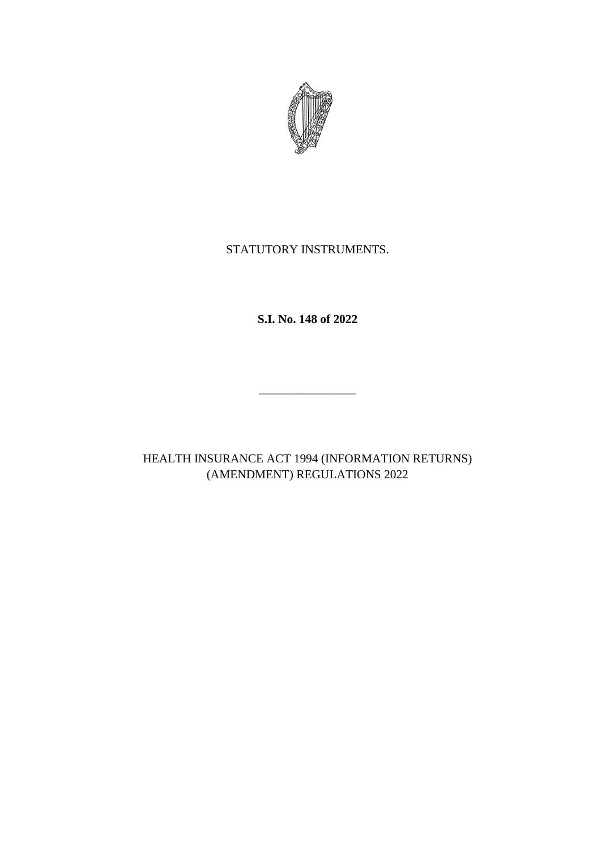

# STATUTORY INSTRUMENTS.

**S.I. No. 148 of 2022**

HEALTH INSURANCE ACT 1994 (INFORMATION RETURNS) (AMENDMENT) REGULATIONS 2022

\_\_\_\_\_\_\_\_\_\_\_\_\_\_\_\_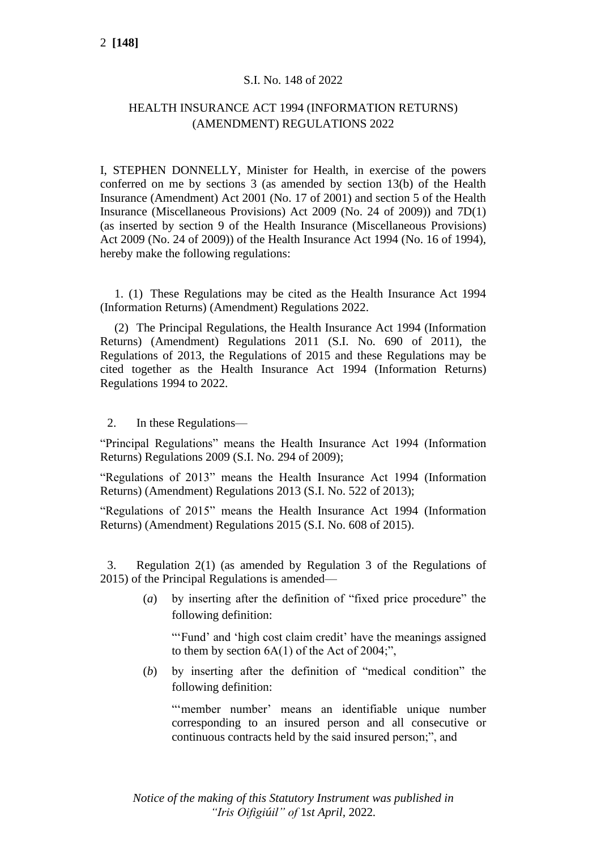### S.I. No. 148 of 2022

# HEALTH INSURANCE ACT 1994 (INFORMATION RETURNS) (AMENDMENT) REGULATIONS 2022

I, STEPHEN DONNELLY, Minister for Health, in exercise of the powers conferred on me by sections 3 (as amended by section 13(b) of the Health Insurance (Amendment) Act 2001 (No. 17 of 2001) and section 5 of the Health Insurance (Miscellaneous Provisions) Act 2009 (No. 24 of 2009)) and 7D(1) (as inserted by section 9 of the Health Insurance (Miscellaneous Provisions) Act 2009 (No. 24 of 2009)) of the Health Insurance Act 1994 (No. 16 of 1994), hereby make the following regulations:

1. (1) These Regulations may be cited as the Health Insurance Act 1994 (Information Returns) (Amendment) Regulations 2022.

(2) The Principal Regulations, the Health Insurance Act 1994 (Information Returns) (Amendment) Regulations 2011 (S.I. No. 690 of 2011), the Regulations of 2013, the Regulations of 2015 and these Regulations may be cited together as the Health Insurance Act 1994 (Information Returns) Regulations 1994 to 2022.

#### 2. In these Regulations—

"Principal Regulations" means the Health Insurance Act 1994 (Information Returns) Regulations 2009 (S.I. No. 294 of 2009);

"Regulations of 2013" means the Health Insurance Act 1994 (Information Returns) (Amendment) Regulations 2013 (S.I. No. 522 of 2013);

"Regulations of 2015" means the Health Insurance Act 1994 (Information Returns) (Amendment) Regulations 2015 (S.I. No. 608 of 2015).

3. Regulation 2(1) (as amended by Regulation 3 of the Regulations of 2015) of the Principal Regulations is amended—

> (*a*) by inserting after the definition of "fixed price procedure" the following definition:

"'Fund' and 'high cost claim credit' have the meanings assigned to them by section 6A(1) of the Act of 2004;",

(*b*) by inserting after the definition of "medical condition" the following definition:

"'member number' means an identifiable unique number corresponding to an insured person and all consecutive or continuous contracts held by the said insured person;", and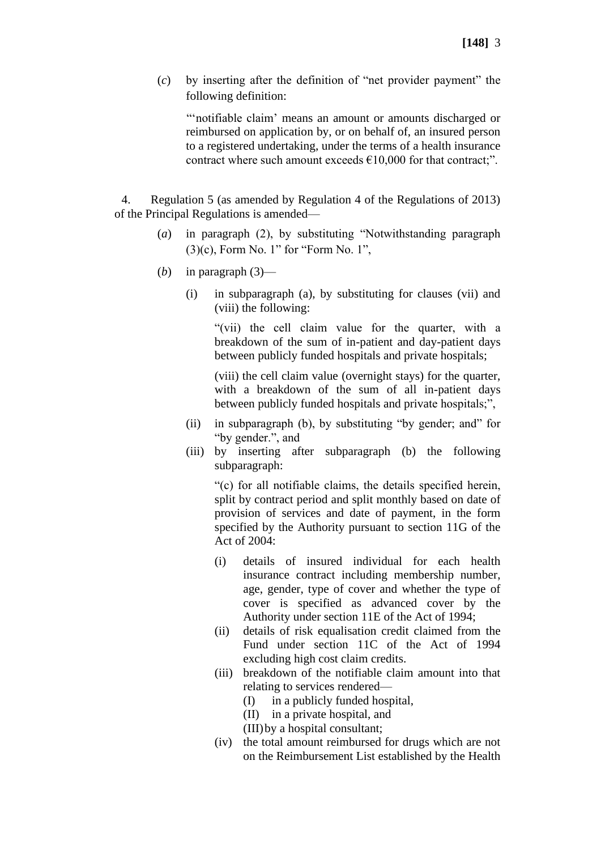(*c*) by inserting after the definition of "net provider payment" the following definition:

"'notifiable claim' means an amount or amounts discharged or reimbursed on application by, or on behalf of, an insured person to a registered undertaking, under the terms of a health insurance contract where such amount exceeds  $€10,000$  for that contract;".

4. Regulation 5 (as amended by Regulation 4 of the Regulations of 2013) of the Principal Regulations is amended—

- (*a*) in paragraph (2), by substituting "Notwithstanding paragraph (3)(c), Form No. 1" for "Form No. 1",
- (*b*) in paragraph  $(3)$ 
	- (i) in subparagraph (a), by substituting for clauses (vii) and (viii) the following:

"(vii) the cell claim value for the quarter, with a breakdown of the sum of in-patient and day-patient days between publicly funded hospitals and private hospitals;

(viii) the cell claim value (overnight stays) for the quarter, with a breakdown of the sum of all in-patient days between publicly funded hospitals and private hospitals;",

- (ii) in subparagraph (b), by substituting "by gender; and" for "by gender.", and
- (iii) by inserting after subparagraph (b) the following subparagraph:

"(c) for all notifiable claims, the details specified herein, split by contract period and split monthly based on date of provision of services and date of payment, in the form specified by the Authority pursuant to section 11G of the Act of 2004:

- (i) details of insured individual for each health insurance contract including membership number, age, gender, type of cover and whether the type of cover is specified as advanced cover by the Authority under section 11E of the Act of 1994;
- (ii) details of risk equalisation credit claimed from the Fund under section 11C of the Act of 1994 excluding high cost claim credits.
- (iii) breakdown of the notifiable claim amount into that relating to services rendered—
	- (I) in a publicly funded hospital,
	- (II) in a private hospital, and
	- (III)by a hospital consultant;
- (iv) the total amount reimbursed for drugs which are not on the Reimbursement List established by the Health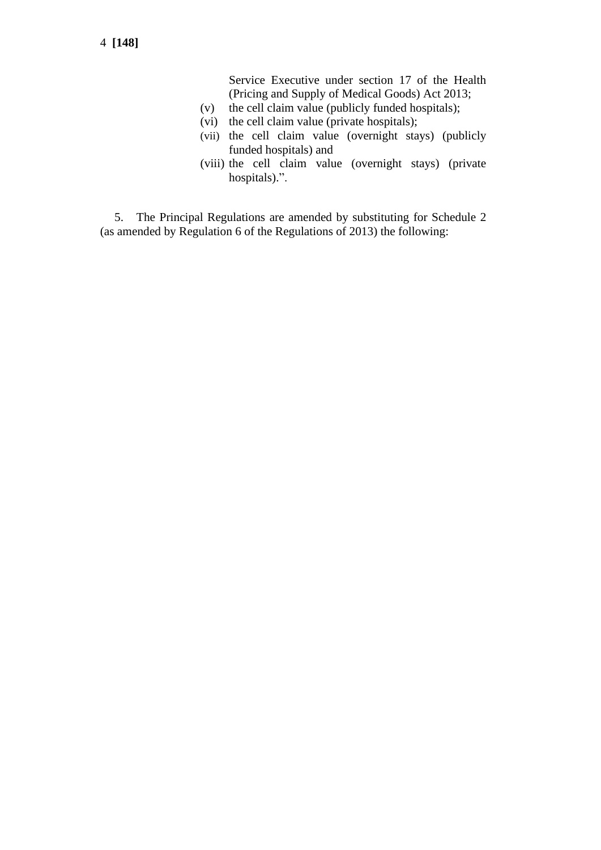Service Executive under section 17 of the Health (Pricing and Supply of Medical Goods) Act 2013;

- (v) the cell claim value (publicly funded hospitals);
- (vi) the cell claim value (private hospitals);
- (vii) the cell claim value (overnight stays) (publicly funded hospitals) and
- (viii) the cell claim value (overnight stays) (private hospitals).".

5. The Principal Regulations are amended by substituting for Schedule 2 (as amended by Regulation 6 of the Regulations of 2013) the following: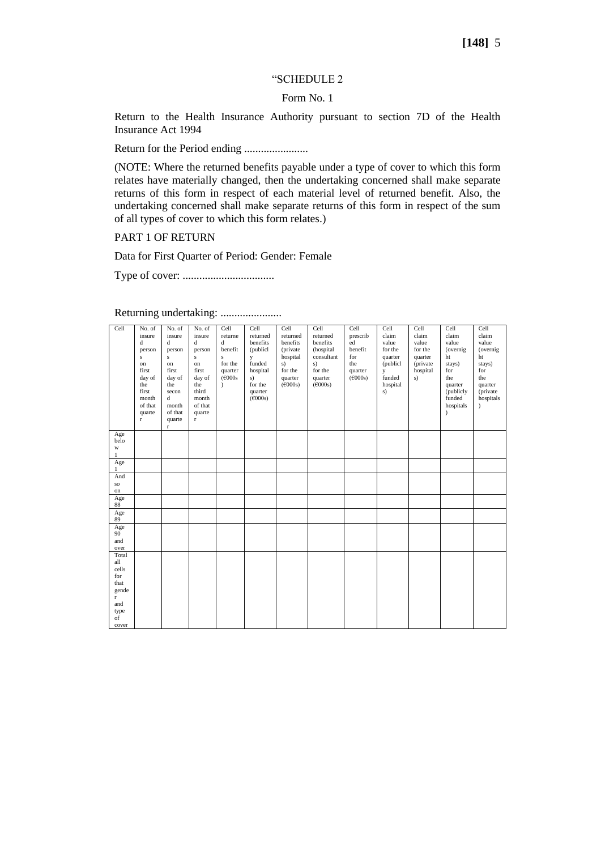#### "SCHEDULE 2

#### Form No. 1

Return to the Health Insurance Authority pursuant to section 7D of the Health Insurance Act 1994

Return for the Period ending .......................

(NOTE: Where the returned benefits payable under a type of cover to which this form relates have materially changed, then the undertaking concerned shall make separate returns of this form in respect of each material level of returned benefit. Also, the undertaking concerned shall make separate returns of this form in respect of the sum of all types of cover to which this form relates.)

PART 1 OF RETURN

Data for First Quarter of Period: Gender: Female

Type of cover: .................................

| Cell                             | No. of<br>insure<br>$\mathbf d$<br>person<br>$\bf S$<br>on<br>first<br>day of<br>the<br>first<br>month<br>of that<br>quarte<br>$\Gamma$ | No. of<br>insure<br>$\mathbf d$<br>person<br>$\mathbf{s}$<br>on<br>first<br>day of<br>the<br>secon<br>$\mathbf d$<br>month<br>of that<br>quarte<br>r | No. of<br>insure<br>$\mathbf d$<br>person<br>${\bf S}$<br>on<br>first<br>day of<br>the<br>third<br>month<br>of that<br>quarte<br>$\mathbf r$ | Cell<br>returne<br>d<br>benefit<br>$\overline{\mathbf{s}}$<br>for the<br>quarter<br>(F000s)<br>í | Cell<br>returned<br>benefits<br>(publicl<br>y<br>funded<br>hospital<br>s)<br>for the<br>quarter<br>$(\epsilon 000s)$ | Cell<br>returned<br>benefits<br>(private)<br>hospital<br>s)<br>for the<br>quarter<br>(6000s) | Cell<br>returned<br>benefits<br>(hospital<br>consultant<br>s)<br>for the<br>quarter<br>(6000s) | Cell<br>prescrib<br>ed<br>benefit<br>for<br>the<br>quarter<br>(6000s) | Cell<br>claim<br>value<br>for the<br>quarter<br>(publicl<br>y<br>funded<br>hospital<br>s) | Cell<br>claim<br>value<br>for the<br>quarter<br>(private<br>hospital<br>s) | Cell<br>claim<br>value<br>(overnig)<br>ht<br>stays)<br>for<br>the<br>quarter<br>(publicly<br>funded<br>hospitals | Cell<br>claim<br>value<br>(overnig)<br>ht<br>stays)<br>for<br>the<br>quarter<br>(private<br>hospitals<br>$\lambda$ |  |
|----------------------------------|-----------------------------------------------------------------------------------------------------------------------------------------|------------------------------------------------------------------------------------------------------------------------------------------------------|----------------------------------------------------------------------------------------------------------------------------------------------|--------------------------------------------------------------------------------------------------|----------------------------------------------------------------------------------------------------------------------|----------------------------------------------------------------------------------------------|------------------------------------------------------------------------------------------------|-----------------------------------------------------------------------|-------------------------------------------------------------------------------------------|----------------------------------------------------------------------------|------------------------------------------------------------------------------------------------------------------|--------------------------------------------------------------------------------------------------------------------|--|
| Age<br>belo<br>W<br>$\mathbf{1}$ |                                                                                                                                         |                                                                                                                                                      |                                                                                                                                              |                                                                                                  |                                                                                                                      |                                                                                              |                                                                                                |                                                                       |                                                                                           |                                                                            |                                                                                                                  |                                                                                                                    |  |
| Age<br>$\mathbf{1}$              |                                                                                                                                         |                                                                                                                                                      |                                                                                                                                              |                                                                                                  |                                                                                                                      |                                                                                              |                                                                                                |                                                                       |                                                                                           |                                                                            |                                                                                                                  |                                                                                                                    |  |
| And                              |                                                                                                                                         |                                                                                                                                                      |                                                                                                                                              |                                                                                                  |                                                                                                                      |                                                                                              |                                                                                                |                                                                       |                                                                                           |                                                                            |                                                                                                                  |                                                                                                                    |  |
| so<br>on                         |                                                                                                                                         |                                                                                                                                                      |                                                                                                                                              |                                                                                                  |                                                                                                                      |                                                                                              |                                                                                                |                                                                       |                                                                                           |                                                                            |                                                                                                                  |                                                                                                                    |  |
| Age<br>88                        |                                                                                                                                         |                                                                                                                                                      |                                                                                                                                              |                                                                                                  |                                                                                                                      |                                                                                              |                                                                                                |                                                                       |                                                                                           |                                                                            |                                                                                                                  |                                                                                                                    |  |
| Age<br>89                        |                                                                                                                                         |                                                                                                                                                      |                                                                                                                                              |                                                                                                  |                                                                                                                      |                                                                                              |                                                                                                |                                                                       |                                                                                           |                                                                            |                                                                                                                  |                                                                                                                    |  |
| Age                              |                                                                                                                                         |                                                                                                                                                      |                                                                                                                                              |                                                                                                  |                                                                                                                      |                                                                                              |                                                                                                |                                                                       |                                                                                           |                                                                            |                                                                                                                  |                                                                                                                    |  |
| 90 <sup>°</sup><br>and           |                                                                                                                                         |                                                                                                                                                      |                                                                                                                                              |                                                                                                  |                                                                                                                      |                                                                                              |                                                                                                |                                                                       |                                                                                           |                                                                            |                                                                                                                  |                                                                                                                    |  |
| over                             |                                                                                                                                         |                                                                                                                                                      |                                                                                                                                              |                                                                                                  |                                                                                                                      |                                                                                              |                                                                                                |                                                                       |                                                                                           |                                                                            |                                                                                                                  |                                                                                                                    |  |
| Total<br>all                     |                                                                                                                                         |                                                                                                                                                      |                                                                                                                                              |                                                                                                  |                                                                                                                      |                                                                                              |                                                                                                |                                                                       |                                                                                           |                                                                            |                                                                                                                  |                                                                                                                    |  |
| cells                            |                                                                                                                                         |                                                                                                                                                      |                                                                                                                                              |                                                                                                  |                                                                                                                      |                                                                                              |                                                                                                |                                                                       |                                                                                           |                                                                            |                                                                                                                  |                                                                                                                    |  |
| for                              |                                                                                                                                         |                                                                                                                                                      |                                                                                                                                              |                                                                                                  |                                                                                                                      |                                                                                              |                                                                                                |                                                                       |                                                                                           |                                                                            |                                                                                                                  |                                                                                                                    |  |
| that                             |                                                                                                                                         |                                                                                                                                                      |                                                                                                                                              |                                                                                                  |                                                                                                                      |                                                                                              |                                                                                                |                                                                       |                                                                                           |                                                                            |                                                                                                                  |                                                                                                                    |  |
| gende<br>$\mathbf{r}$            |                                                                                                                                         |                                                                                                                                                      |                                                                                                                                              |                                                                                                  |                                                                                                                      |                                                                                              |                                                                                                |                                                                       |                                                                                           |                                                                            |                                                                                                                  |                                                                                                                    |  |
| and                              |                                                                                                                                         |                                                                                                                                                      |                                                                                                                                              |                                                                                                  |                                                                                                                      |                                                                                              |                                                                                                |                                                                       |                                                                                           |                                                                            |                                                                                                                  |                                                                                                                    |  |
| type                             |                                                                                                                                         |                                                                                                                                                      |                                                                                                                                              |                                                                                                  |                                                                                                                      |                                                                                              |                                                                                                |                                                                       |                                                                                           |                                                                            |                                                                                                                  |                                                                                                                    |  |
| of                               |                                                                                                                                         |                                                                                                                                                      |                                                                                                                                              |                                                                                                  |                                                                                                                      |                                                                                              |                                                                                                |                                                                       |                                                                                           |                                                                            |                                                                                                                  |                                                                                                                    |  |
| cover                            |                                                                                                                                         |                                                                                                                                                      |                                                                                                                                              |                                                                                                  |                                                                                                                      |                                                                                              |                                                                                                |                                                                       |                                                                                           |                                                                            |                                                                                                                  |                                                                                                                    |  |

Returning undertaking: ......................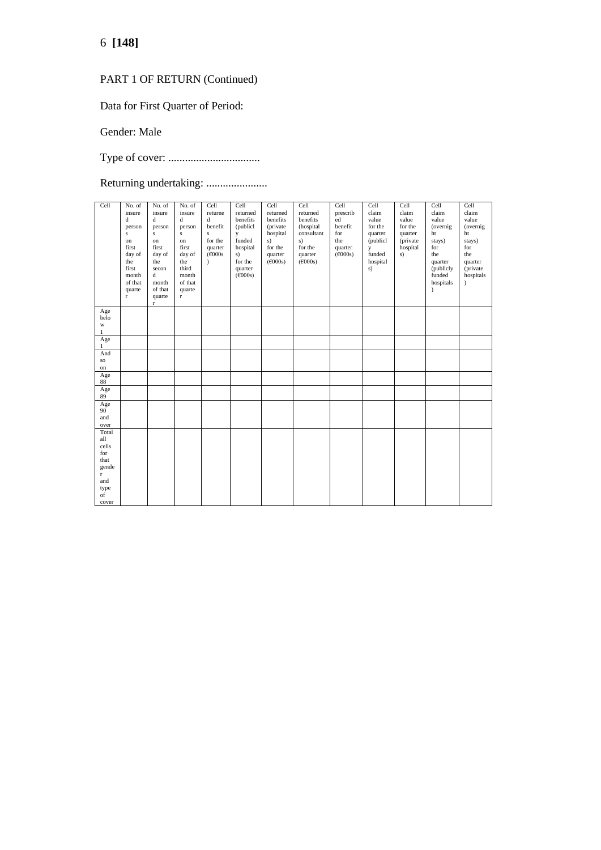# 6 **[148]**

# PART 1 OF RETURN (Continued)

Data for First Quarter of Period:

Gender: Male

Type of cover: .................................

Returning undertaking: ........................

| Cell                                | No. of<br>insure<br>d<br>person<br>$\bf S$<br>on<br>first<br>day of<br>the<br>first<br>month<br>of that<br>quarte<br>$\mathbf r$ | No. of<br>insure<br>$\mathbf d$<br>person<br>$\mathbf{s}$<br>on<br>first<br>day of<br>the<br>secon<br>$\mathbf d$<br>month<br>of that<br>quarte<br>$\mathbf r$ | No. of<br>insure<br>d<br>person<br>$\bf S$<br>on<br>first<br>day of<br>the<br>third<br>month<br>of that<br>quarte<br>$\mathbf{r}$ | Cell<br>returne<br>d<br>benefit<br>$\mathbf{s}$<br>for the<br>quarter<br>(F000s)<br>$\lambda$ | Cell<br>returned<br>benefits<br>(publicl<br>y<br>funded<br>hospital<br>s)<br>for the<br>quarter<br>(6000s) | Cell<br>returned<br>benefits<br>(private<br>hospital<br>s)<br>for the<br>quarter<br>$(\epsilon 000s)$ | Cell<br>returned<br>benefits<br>(hospital<br>consultant<br>s)<br>for the<br>quarter<br>$(\epsilon 000s)$ | Cell<br>prescrib<br>ed<br>benefit<br>for<br>the<br>quarter<br>(6000s) | Cell<br>claim<br>value<br>for the<br>quarter<br>(publicl<br>y<br>funded<br>hospital<br>s) | Cell<br>claim<br>value<br>for the<br>quarter<br>(private<br>hospital<br>s) | Cell<br>claim<br>value<br>(overnig)<br>ht<br>stays)<br>for<br>the<br>quarter<br>(publicly<br>funded<br>hospitals<br>) | Cell<br>claim<br>value<br>(overnig)<br>ht<br>stays)<br>for<br>the<br>quarter<br>(private<br>hospitals<br>$\lambda$ |
|-------------------------------------|----------------------------------------------------------------------------------------------------------------------------------|----------------------------------------------------------------------------------------------------------------------------------------------------------------|-----------------------------------------------------------------------------------------------------------------------------------|-----------------------------------------------------------------------------------------------|------------------------------------------------------------------------------------------------------------|-------------------------------------------------------------------------------------------------------|----------------------------------------------------------------------------------------------------------|-----------------------------------------------------------------------|-------------------------------------------------------------------------------------------|----------------------------------------------------------------------------|-----------------------------------------------------------------------------------------------------------------------|--------------------------------------------------------------------------------------------------------------------|
| Age<br>belo<br>$\mathbf{W}$         |                                                                                                                                  |                                                                                                                                                                |                                                                                                                                   |                                                                                               |                                                                                                            |                                                                                                       |                                                                                                          |                                                                       |                                                                                           |                                                                            |                                                                                                                       |                                                                                                                    |
| $\mathbf{1}$<br>Age<br>$\mathbf{1}$ |                                                                                                                                  |                                                                                                                                                                |                                                                                                                                   |                                                                                               |                                                                                                            |                                                                                                       |                                                                                                          |                                                                       |                                                                                           |                                                                            |                                                                                                                       |                                                                                                                    |
| And<br>$_{\rm SO}$                  |                                                                                                                                  |                                                                                                                                                                |                                                                                                                                   |                                                                                               |                                                                                                            |                                                                                                       |                                                                                                          |                                                                       |                                                                                           |                                                                            |                                                                                                                       |                                                                                                                    |
| on                                  |                                                                                                                                  |                                                                                                                                                                |                                                                                                                                   |                                                                                               |                                                                                                            |                                                                                                       |                                                                                                          |                                                                       |                                                                                           |                                                                            |                                                                                                                       |                                                                                                                    |
| Age<br>88                           |                                                                                                                                  |                                                                                                                                                                |                                                                                                                                   |                                                                                               |                                                                                                            |                                                                                                       |                                                                                                          |                                                                       |                                                                                           |                                                                            |                                                                                                                       |                                                                                                                    |
| Age<br>89                           |                                                                                                                                  |                                                                                                                                                                |                                                                                                                                   |                                                                                               |                                                                                                            |                                                                                                       |                                                                                                          |                                                                       |                                                                                           |                                                                            |                                                                                                                       |                                                                                                                    |
| Age<br>90 <sup>°</sup>              |                                                                                                                                  |                                                                                                                                                                |                                                                                                                                   |                                                                                               |                                                                                                            |                                                                                                       |                                                                                                          |                                                                       |                                                                                           |                                                                            |                                                                                                                       |                                                                                                                    |
| and                                 |                                                                                                                                  |                                                                                                                                                                |                                                                                                                                   |                                                                                               |                                                                                                            |                                                                                                       |                                                                                                          |                                                                       |                                                                                           |                                                                            |                                                                                                                       |                                                                                                                    |
| over                                |                                                                                                                                  |                                                                                                                                                                |                                                                                                                                   |                                                                                               |                                                                                                            |                                                                                                       |                                                                                                          |                                                                       |                                                                                           |                                                                            |                                                                                                                       |                                                                                                                    |
| Total<br>all                        |                                                                                                                                  |                                                                                                                                                                |                                                                                                                                   |                                                                                               |                                                                                                            |                                                                                                       |                                                                                                          |                                                                       |                                                                                           |                                                                            |                                                                                                                       |                                                                                                                    |
| cells                               |                                                                                                                                  |                                                                                                                                                                |                                                                                                                                   |                                                                                               |                                                                                                            |                                                                                                       |                                                                                                          |                                                                       |                                                                                           |                                                                            |                                                                                                                       |                                                                                                                    |
| for                                 |                                                                                                                                  |                                                                                                                                                                |                                                                                                                                   |                                                                                               |                                                                                                            |                                                                                                       |                                                                                                          |                                                                       |                                                                                           |                                                                            |                                                                                                                       |                                                                                                                    |
| that                                |                                                                                                                                  |                                                                                                                                                                |                                                                                                                                   |                                                                                               |                                                                                                            |                                                                                                       |                                                                                                          |                                                                       |                                                                                           |                                                                            |                                                                                                                       |                                                                                                                    |
| gende<br>$\mathbf{r}$               |                                                                                                                                  |                                                                                                                                                                |                                                                                                                                   |                                                                                               |                                                                                                            |                                                                                                       |                                                                                                          |                                                                       |                                                                                           |                                                                            |                                                                                                                       |                                                                                                                    |
| and                                 |                                                                                                                                  |                                                                                                                                                                |                                                                                                                                   |                                                                                               |                                                                                                            |                                                                                                       |                                                                                                          |                                                                       |                                                                                           |                                                                            |                                                                                                                       |                                                                                                                    |
| type                                |                                                                                                                                  |                                                                                                                                                                |                                                                                                                                   |                                                                                               |                                                                                                            |                                                                                                       |                                                                                                          |                                                                       |                                                                                           |                                                                            |                                                                                                                       |                                                                                                                    |
| of                                  |                                                                                                                                  |                                                                                                                                                                |                                                                                                                                   |                                                                                               |                                                                                                            |                                                                                                       |                                                                                                          |                                                                       |                                                                                           |                                                                            |                                                                                                                       |                                                                                                                    |
| cover                               |                                                                                                                                  |                                                                                                                                                                |                                                                                                                                   |                                                                                               |                                                                                                            |                                                                                                       |                                                                                                          |                                                                       |                                                                                           |                                                                            |                                                                                                                       |                                                                                                                    |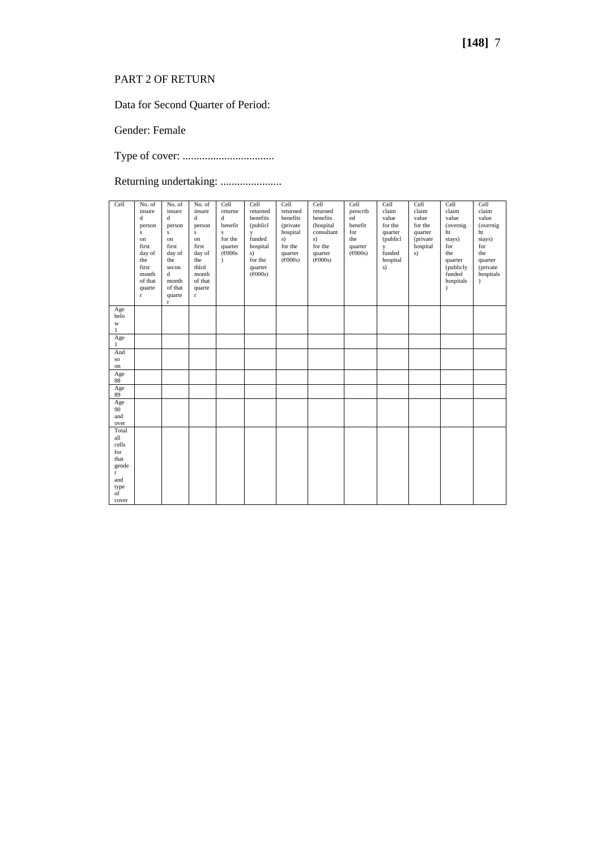# PART 2 OF RETURN

Data for Second Quarter of Period:

Gender: Female

Type of cover: .................................

Returning undertaking: ........................

| Cell         | No. of       | No. of       | No. of      | Cell         | Cell                         | Cell     | Cell       | Cell              | Cell     | Cell     | Cell       | Cell      |
|--------------|--------------|--------------|-------------|--------------|------------------------------|----------|------------|-------------------|----------|----------|------------|-----------|
|              | insure       | insure       | insure      | returne      | returned                     | returned | returned   | prescrib          | claim    | claim    | claim      | claim     |
|              | $\mathbf d$  | $\mathbf d$  | $\mathbf d$ | $\mathbf d$  | benefits                     | benefits | benefits   | ed                | value    | value    | value      | value     |
|              | person       | person       | person      | benefit      | (publicl                     | (private | (hospital  | benefit           | for the  | for the  | (overnig   | (overnig) |
|              | $\mathbf{s}$ | $\mathbf{s}$ | s           | $\mathbf{s}$ | y                            | hospital | consultant | for               | quarter  | quarter  | ht         | ht        |
|              | on           | on           | on          | for the      | funded                       | s)       | s)         | the               | (publicl | (private | stays)     | stays)    |
|              | first        | first        | first       | quarter      | hospital                     | for the  | for the    | quarter           | y        | hospital | for        | for       |
|              | day of       | day of       | day of      | (F000s)      | s)                           | quarter  | quarter    | $(\epsilon 000s)$ | funded   | s)       | the        | the       |
|              |              |              |             |              |                              |          |            |                   |          |          |            |           |
|              | the          | the          | the         | $\lambda$    | for the                      | (6000s)  | (6000s)    |                   | hospital |          | quarter    | quarter   |
|              | first        | secon        | third       |              | quarter                      |          |            |                   | s)       |          | (publicly) | (private  |
|              | month        | d            | month       |              | $(\text{\textsterling}000s)$ |          |            |                   |          |          | funded     | hospitals |
|              | of that      | month        | of that     |              |                              |          |            |                   |          |          | hospitals  | í         |
|              | quarte       | of that      | quarte      |              |                              |          |            |                   |          |          | $\lambda$  |           |
|              | $\mathbf r$  | quarte       | $\mathbf r$ |              |                              |          |            |                   |          |          |            |           |
|              |              | $\mathbf{r}$ |             |              |                              |          |            |                   |          |          |            |           |
| Age          |              |              |             |              |                              |          |            |                   |          |          |            |           |
| belo         |              |              |             |              |                              |          |            |                   |          |          |            |           |
| W            |              |              |             |              |                              |          |            |                   |          |          |            |           |
| $1\,$        |              |              |             |              |                              |          |            |                   |          |          |            |           |
| Age          |              |              |             |              |                              |          |            |                   |          |          |            |           |
| $\mathbf{1}$ |              |              |             |              |                              |          |            |                   |          |          |            |           |
| And          |              |              |             |              |                              |          |            |                   |          |          |            |           |
| $_{\rm SO}$  |              |              |             |              |                              |          |            |                   |          |          |            |           |
| on<br>Age    |              |              |             |              |                              |          |            |                   |          |          |            |           |
| 88           |              |              |             |              |                              |          |            |                   |          |          |            |           |
| Age          |              |              |             |              |                              |          |            |                   |          |          |            |           |
| 89           |              |              |             |              |                              |          |            |                   |          |          |            |           |
| Age          |              |              |             |              |                              |          |            |                   |          |          |            |           |
| 90           |              |              |             |              |                              |          |            |                   |          |          |            |           |
| and          |              |              |             |              |                              |          |            |                   |          |          |            |           |
| over         |              |              |             |              |                              |          |            |                   |          |          |            |           |
| Total        |              |              |             |              |                              |          |            |                   |          |          |            |           |
| all          |              |              |             |              |                              |          |            |                   |          |          |            |           |
| cells        |              |              |             |              |                              |          |            |                   |          |          |            |           |
| for          |              |              |             |              |                              |          |            |                   |          |          |            |           |
| that         |              |              |             |              |                              |          |            |                   |          |          |            |           |
| gende        |              |              |             |              |                              |          |            |                   |          |          |            |           |
| $\mathbf{r}$ |              |              |             |              |                              |          |            |                   |          |          |            |           |
| and          |              |              |             |              |                              |          |            |                   |          |          |            |           |
|              |              |              |             |              |                              |          |            |                   |          |          |            |           |
| type         |              |              |             |              |                              |          |            |                   |          |          |            |           |
| of           |              |              |             |              |                              |          |            |                   |          |          |            |           |
| cover        |              |              |             |              |                              |          |            |                   |          |          |            |           |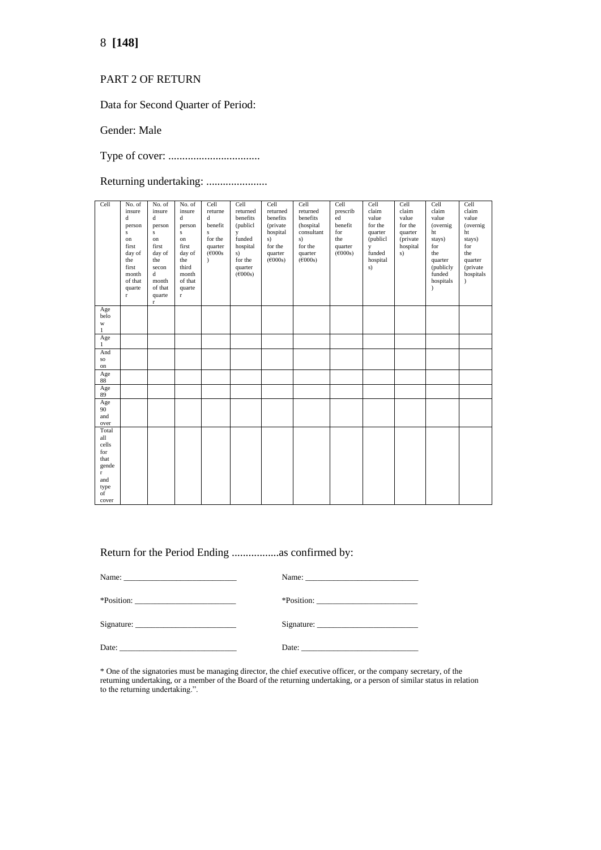### 8 **[148]**

#### PART 2 OF RETURN

Data for Second Quarter of Period:

Gender: Male

Type of cover: .................................

Returning undertaking: .......................

| Cell                | No. of<br>insure<br>$\mathbf d$<br>person<br>$\mathbf S$<br>on<br>first<br>day of<br>the<br>first<br>month<br>of that<br>quarte<br>$\Gamma$ | No. of<br>insure<br>d<br>person<br>$\mathbf{s}$<br>on<br>first<br>day of<br>the<br>secon<br>d<br>month<br>of that<br>quarte<br>$\Gamma$ | No. of<br>insure<br>d<br>person<br>$\bf S$<br>on<br>first<br>day of<br>the<br>third<br>month<br>of that<br>quarte<br>$\mathbf{r}$ | Cell<br>returne<br>$\mathbf d$<br>benefit<br>s<br>for the<br>quarter<br>$(\text{\textsterling}000s$<br>$\lambda$ | Cell<br>returned<br>benefits<br>(publicl)<br>y<br>funded<br>hospital<br>s)<br>for the<br>quarter<br>(6000s) | Cell<br>returned<br>benefits<br>(private<br>hospital<br>s)<br>for the<br>quarter<br>(6000s) | Cell<br>returned<br>benefits<br>(hospital<br>consultant<br>s)<br>for the<br>quarter<br>(6000s) | Cell<br>prescrib<br>ed<br>benefit<br>for<br>the<br>quarter<br>(6000s) | Cell<br>claim<br>value<br>for the<br>quarter<br>(publicl<br>y<br>funded<br>hospital<br>s) | Cell<br>claim<br>value<br>for the<br>quarter<br>(private<br>hospital<br>s) | Cell<br>claim<br>value<br>(overnig)<br>ht<br>stays)<br>for<br>the<br>quarter<br>(publicly<br>funded<br>hospitals<br>$\lambda$ | Cell<br>claim<br>value<br>(overnig)<br>ht<br>stays)<br>for<br>the<br>quarter<br>(private<br>hospitals<br>$\lambda$ |
|---------------------|---------------------------------------------------------------------------------------------------------------------------------------------|-----------------------------------------------------------------------------------------------------------------------------------------|-----------------------------------------------------------------------------------------------------------------------------------|------------------------------------------------------------------------------------------------------------------|-------------------------------------------------------------------------------------------------------------|---------------------------------------------------------------------------------------------|------------------------------------------------------------------------------------------------|-----------------------------------------------------------------------|-------------------------------------------------------------------------------------------|----------------------------------------------------------------------------|-------------------------------------------------------------------------------------------------------------------------------|--------------------------------------------------------------------------------------------------------------------|
| Age<br>belo         |                                                                                                                                             |                                                                                                                                         |                                                                                                                                   |                                                                                                                  |                                                                                                             |                                                                                             |                                                                                                |                                                                       |                                                                                           |                                                                            |                                                                                                                               |                                                                                                                    |
| $\mathbf{W}$        |                                                                                                                                             |                                                                                                                                         |                                                                                                                                   |                                                                                                                  |                                                                                                             |                                                                                             |                                                                                                |                                                                       |                                                                                           |                                                                            |                                                                                                                               |                                                                                                                    |
| $\mathbf{1}$<br>Age |                                                                                                                                             |                                                                                                                                         |                                                                                                                                   |                                                                                                                  |                                                                                                             |                                                                                             |                                                                                                |                                                                       |                                                                                           |                                                                            |                                                                                                                               |                                                                                                                    |
| $\mathbf{1}$<br>And |                                                                                                                                             |                                                                                                                                         |                                                                                                                                   |                                                                                                                  |                                                                                                             |                                                                                             |                                                                                                |                                                                       |                                                                                           |                                                                            |                                                                                                                               |                                                                                                                    |
| $_{\rm SO}$         |                                                                                                                                             |                                                                                                                                         |                                                                                                                                   |                                                                                                                  |                                                                                                             |                                                                                             |                                                                                                |                                                                       |                                                                                           |                                                                            |                                                                                                                               |                                                                                                                    |
| on                  |                                                                                                                                             |                                                                                                                                         |                                                                                                                                   |                                                                                                                  |                                                                                                             |                                                                                             |                                                                                                |                                                                       |                                                                                           |                                                                            |                                                                                                                               |                                                                                                                    |
| Age<br>88           |                                                                                                                                             |                                                                                                                                         |                                                                                                                                   |                                                                                                                  |                                                                                                             |                                                                                             |                                                                                                |                                                                       |                                                                                           |                                                                            |                                                                                                                               |                                                                                                                    |
| Age<br>89           |                                                                                                                                             |                                                                                                                                         |                                                                                                                                   |                                                                                                                  |                                                                                                             |                                                                                             |                                                                                                |                                                                       |                                                                                           |                                                                            |                                                                                                                               |                                                                                                                    |
| Age                 |                                                                                                                                             |                                                                                                                                         |                                                                                                                                   |                                                                                                                  |                                                                                                             |                                                                                             |                                                                                                |                                                                       |                                                                                           |                                                                            |                                                                                                                               |                                                                                                                    |
| 90<br>and           |                                                                                                                                             |                                                                                                                                         |                                                                                                                                   |                                                                                                                  |                                                                                                             |                                                                                             |                                                                                                |                                                                       |                                                                                           |                                                                            |                                                                                                                               |                                                                                                                    |
| over                |                                                                                                                                             |                                                                                                                                         |                                                                                                                                   |                                                                                                                  |                                                                                                             |                                                                                             |                                                                                                |                                                                       |                                                                                           |                                                                            |                                                                                                                               |                                                                                                                    |
| Total<br>all        |                                                                                                                                             |                                                                                                                                         |                                                                                                                                   |                                                                                                                  |                                                                                                             |                                                                                             |                                                                                                |                                                                       |                                                                                           |                                                                            |                                                                                                                               |                                                                                                                    |
| cells               |                                                                                                                                             |                                                                                                                                         |                                                                                                                                   |                                                                                                                  |                                                                                                             |                                                                                             |                                                                                                |                                                                       |                                                                                           |                                                                            |                                                                                                                               |                                                                                                                    |
| for                 |                                                                                                                                             |                                                                                                                                         |                                                                                                                                   |                                                                                                                  |                                                                                                             |                                                                                             |                                                                                                |                                                                       |                                                                                           |                                                                            |                                                                                                                               |                                                                                                                    |
| that<br>gende       |                                                                                                                                             |                                                                                                                                         |                                                                                                                                   |                                                                                                                  |                                                                                                             |                                                                                             |                                                                                                |                                                                       |                                                                                           |                                                                            |                                                                                                                               |                                                                                                                    |
| $\mathbf{r}$        |                                                                                                                                             |                                                                                                                                         |                                                                                                                                   |                                                                                                                  |                                                                                                             |                                                                                             |                                                                                                |                                                                       |                                                                                           |                                                                            |                                                                                                                               |                                                                                                                    |
| and                 |                                                                                                                                             |                                                                                                                                         |                                                                                                                                   |                                                                                                                  |                                                                                                             |                                                                                             |                                                                                                |                                                                       |                                                                                           |                                                                            |                                                                                                                               |                                                                                                                    |
| type<br>of          |                                                                                                                                             |                                                                                                                                         |                                                                                                                                   |                                                                                                                  |                                                                                                             |                                                                                             |                                                                                                |                                                                       |                                                                                           |                                                                            |                                                                                                                               |                                                                                                                    |
| cover               |                                                                                                                                             |                                                                                                                                         |                                                                                                                                   |                                                                                                                  |                                                                                                             |                                                                                             |                                                                                                |                                                                       |                                                                                           |                                                                            |                                                                                                                               |                                                                                                                    |

Return for the Period Ending .................as confirmed by:

| Date: $\frac{1}{\sqrt{1-\frac{1}{2}} \cdot \frac{1}{\sqrt{1-\frac{1}{2}} \cdot \frac{1}{2}} \cdot \frac{1}{\sqrt{1-\frac{1}{2}} \cdot \frac{1}{2}} \cdot \frac{1}{\sqrt{1-\frac{1}{2}} \cdot \frac{1}{2}}}{\sqrt{1-\frac{1}{2}} \cdot \frac{1}{\sqrt{1-\frac{1}{2}} \cdot \frac{1}{2}} \cdot \frac{1}{\sqrt{1-\frac{1}{2}} \cdot \frac{1}{2}} \cdot \frac{1}{\sqrt{1-\frac{1}{2}} \cdot \frac{1}{2}} \cdot \frac{1}{\sqrt{1-\frac{1}{2}} \cdot \frac{1$ |  |
|---------------------------------------------------------------------------------------------------------------------------------------------------------------------------------------------------------------------------------------------------------------------------------------------------------------------------------------------------------------------------------------------------------------------------------------------------------|--|

\* One of the signatories must be managing director, the chief executive officer, or the company secretary, of the returning undertaking, or a member of the Board of the returning undertaking, or a person of similar status in relation to the returning undertaking.".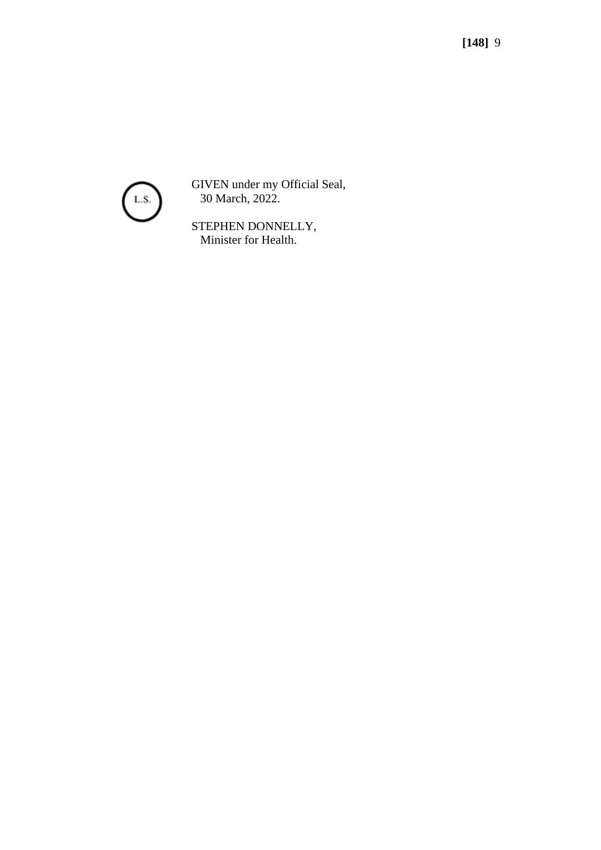

GIVEN under my Official Seal, 30 March, 2022.

STEPHEN DONNELLY, Minister for Health.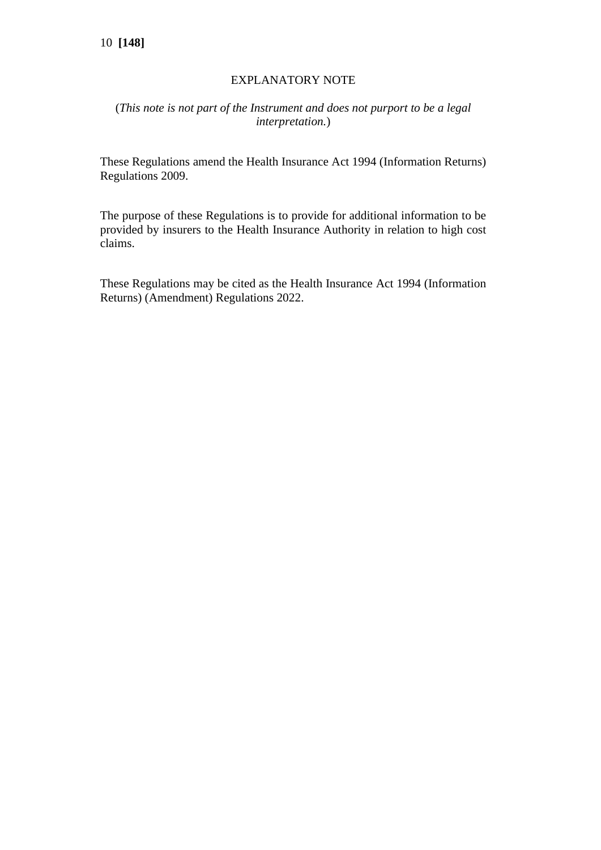### EXPLANATORY NOTE

### (*This note is not part of the Instrument and does not purport to be a legal interpretation.*)

These Regulations amend the Health Insurance Act 1994 (Information Returns) Regulations 2009.

The purpose of these Regulations is to provide for additional information to be provided by insurers to the Health Insurance Authority in relation to high cost claims.

These Regulations may be cited as the Health Insurance Act 1994 (Information Returns) (Amendment) Regulations 2022.